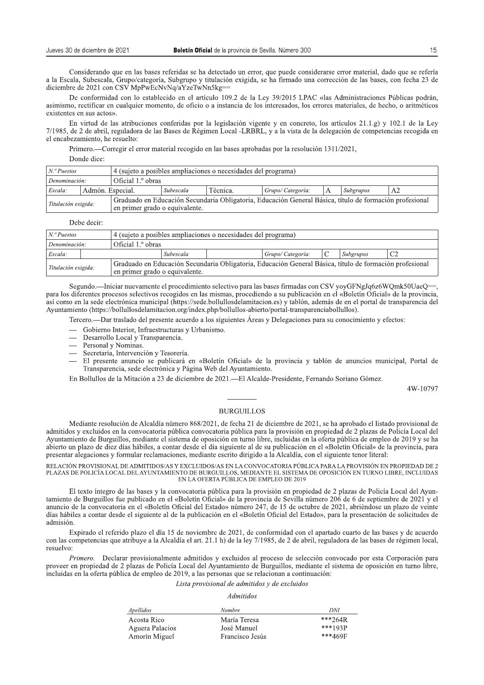Considerando que en las bases referidas se ha detectado un error, que puede considerarse error material, dado que se refería a la Escala, Subescala, Grupo/categoría, Subgrupo y titulación exigida, se ha firmado una corrección de las bases, con fecha 23 de diciembre de 2021 con CSV MpPwEcNvNq/aYzeTwNn5kg=

De conformidad con lo establecido en el artículo 109.2 de la Ley 39/2015 LPAC «las Administraciones Públicas podrán, asimismo, rectificar en cualquier momento, de oficio o a instancia de los interesados, los errores materiales, de hecho, o aritméticos existentes en sus actos».

En virtud de las atribuciones conferidas por la legislación vigente y en concreto, los artículos 21.1.g) y 102.1 de la Ley 7/1985, de 2 de abril, reguladora de las Bases de Régimen Local -LRBRL, y a la vista de la delegación de competencias recogida en el encabezamiento, he resuelto:

Primero.—Corregir el error material recogido en las bases aprobadas por la resolución 1311/2021.

Donde dice:

| $N$ . $P$ uestos                                      |                  | 4 (sujeto a posibles ampliaciones o necesidades del programa) |           |                                                                                                         |                   |   |           |    |
|-------------------------------------------------------|------------------|---------------------------------------------------------------|-----------|---------------------------------------------------------------------------------------------------------|-------------------|---|-----------|----|
| Denominación:                                         |                  | Oficial 1. <sup>o</sup> obras                                 |           |                                                                                                         |                   |   |           |    |
| Escala:                                               | Admón. Especial. |                                                               | Subescala | Técnica.                                                                                                | Grupo/ Categoría: | А | Subgrupos | A2 |
| Titulación exigida:<br>en primer grado o equivalente. |                  |                                                               |           | Graduado en Educación Secundaria Obligatoria, Educación General Básica, título de formación profesional |                   |   |           |    |

Debe decir:

| $N$ . <sup>o</sup> Puestos                                                                                                                                       |  | 4 (sujeto a posibles ampliaciones o necesidades del programa) |  |  |                   |  |           |                |
|------------------------------------------------------------------------------------------------------------------------------------------------------------------|--|---------------------------------------------------------------|--|--|-------------------|--|-----------|----------------|
| Oficial 1. <sup>o</sup> obras<br>Denominación:                                                                                                                   |  |                                                               |  |  |                   |  |           |                |
| Escala:                                                                                                                                                          |  | Subescala                                                     |  |  | Grupo/ Categoría: |  | Subgrupos | C <sub>2</sub> |
| Graduado en Educación Secundaria Obligatoria, Educación General Básica, título de formación profesional<br>Titulación exigida:<br>en primer grado o equivalente. |  |                                                               |  |  |                   |  |           |                |

Segundo.—Iniciar nuevamente el procedimiento selectivo para las bases firmadas con CSV vovGFNgJq6z6WOmk50UaeO==, para los diferentes procesos selectivos recogidos en las mismas, procediendo a su publicación en el «Boletín Oficial» de la provincia, así como en la sede electrónica municipal (https://sede.bollullosdelamitacion.es) y tablón, además de en el portal de transparencia del Ayuntamiento (https://bollullosdelamitacion.org/index.php/bollullos-abierto/portal-transparenciabollullos).

Tercero--Dar traslado del presente acuerdo a los siguientes Áreas y Delegaciones para su conocimiento y efectos:

- Gobierno Interior, Infraestructuras y Urbanismo.
- Desarrollo Local y Transparencia.
- Personal y Nominas.
- Secretaría, Intervención y Tesorería.
- El presente anuncio se publicará en «Boletín Oficial» de la provincia y tablón de anuncios municipal, Portal de Transparencia, sede electrónica y Página Web del Ayuntamiento.

En Bollullos de la Mitación a 23 de diciembre de 2021. - El Alcalde-Presidente, Fernando Soriano Gómez.

4W-10797

#### **BURGUILLOS**

Mediante resolución de Alcaldía número 868/2021, de fecha 21 de diciembre de 2021, se ha aprobado el listado provisional de admitidos y excluidos en la convocatoria pública convocatoria pública para la provisión en propiedad de 2 plazas de Policía Local del Ayuntamiento de Burguillos, mediante el sistema de oposición en turno libre, incluidas en la oferta pública de empleo de 2019 y se ha abierto un plazo de diez días hábiles, a contar desde el día siguiente al de su publicación en el «Boletín Oficial» de la provincia, para presentar alegaciones y formular reclamaciones, mediante escrito dirigido a la Alcaldía, con el siguiente tenor literal:

RELACIÓN PROVISIONAL DE ADMITIDOS/AS Y EXCLUIDOS/AS EN LA CONVOCATORIA PÚBLICA PARA LA PROVISIÓN EN PROPIEDAD DE 2 PLAZAS DE POLICÍA LOCAL DEL AYUNTAMIENTO DE BURGUILLOS, MEDIANTE EL SISTEMA DE OPOSICIÓN EN TURNO LIBRE, INCLUIDAS EN LA OFERTA PÚBLICA DE EMPLEO DE 2019

El texto íntegro de las bases y la convocatoria pública para la provisión en propiedad de 2 plazas de Policía Local del Ayuntamiento de Burguillos fue publicado en el «Boletín Oficial» de la provincia de Sevilla número 206 de 6 de septiembre de 2021 y el anuncio de la convocatoria en el «Boletín Oficial del Estado» número 247, de 15 de octubre de 2021, abriéndose un plazo de veinte días hábiles a contar desde el siguiente al de la publicación en el «Boletín Óficial del Estado», para la presentación de solicitudes de admisión

Expirado el referido plazo el día 15 de noviembre de 2021, de conformidad con el apartado cuarto de las bases y de acuerdo con las competencias que atribuye a la Alcaldía el art. 21.1 h) de la ley 7/1985, de 2 de abril, reguladora de las bases de régimen local, resuelvo:

Primero Declarar provisionalmente admitidos y excluidos al proceso de selección convocado por esta Corporación para proveer en propiedad de 2 plazas de Policía Local del Ayuntamiento de Burguillos, mediante el sistema de oposición en turno libre, incluidas en la oferta pública de empleo de 2019, a las personas que se relacionan a continuación:

# Lista provisional de admitidos y de excluidos

### **Admitidos**

| Apellidos       | <i>Nombre</i>   | DNI       |
|-----------------|-----------------|-----------|
| Acosta Rico     | María Teresa    | $***264R$ |
| Aguera Palacios | José Manuel     | $***193P$ |
| Amorín Miguel   | Francisco Jesús | ***469F   |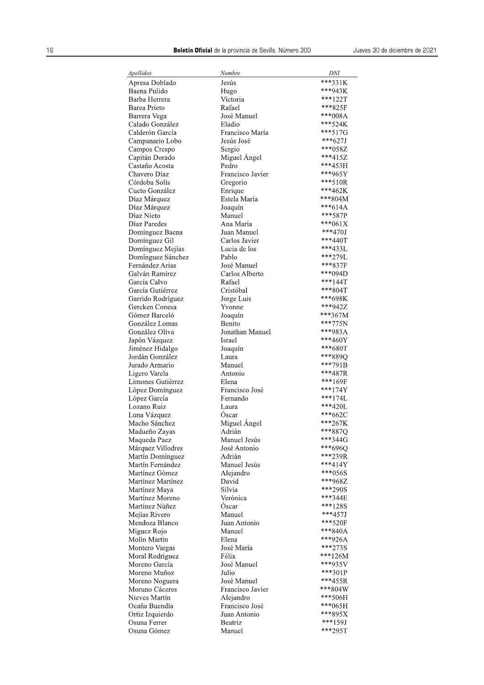| Apellidos                          | Nombre                          | DNI                    |
|------------------------------------|---------------------------------|------------------------|
| Apresa Doblado                     | Jesús                           | ***331K                |
| Baena Pulido                       | Hugo                            | ***943K                |
| Barba Herrera                      | Victoria                        | $***122T$              |
| Barea Prieto                       | Rafael                          | ***825F                |
| Barrera Vega                       | José Manuel                     | ***008A                |
| Calado González<br>Calderón García | Eladio                          | *** 524K<br>***517G    |
| Campanario Lobo                    | Francisco María<br>Jesús José   | $***627J$              |
| Campos Crespo                      | Sergio                          | ***058Z                |
| Capitán Dorado                     | Miguel Angel                    | ***415Z                |
| Castaño Acosta                     | Pedro                           | ***453H                |
| Chavero Díaz                       | Francisco Javier                | ***965Y                |
| Córdoba Solís                      | Gregorio                        | $***510R$              |
| Cueto González                     | Enrique                         | ***462K                |
| Díaz Márquez                       | Estela María                    | ***804M                |
| Díaz Márquez                       | Joaquín                         | $***614A$              |
| Díaz Nieto                         | Manuel                          | ***587P<br>*** 061 $X$ |
| Díaz Paredes<br>Domínguez Baena    | Ana María<br>Juan Manuel        | $***470J$              |
| Domínguez Gil                      | Carlos Javier                   | ***440T                |
| Domínguez Mejías                   | Lucia de los                    | ***433L                |
| Domínguez Sánchez                  | Pablo                           | ***279L                |
| Fernández Arias                    | José Manuel                     | ***837F                |
| Galván Ramírez                     | Carlos Alberto                  | ***094D                |
| García Calvo                       | Rafael                          | ***144T                |
| García Gutiérrez                   | Cristóbal                       | ***804T                |
| Garrido Rodríguez                  | Jorge Luis                      | ***698K                |
| Gercken Conesa                     | Yvonne                          | ***942Z                |
| Gómez Barceló<br>González Lomas    | Joaquín<br>Benito               | ***367M<br>***775N     |
| González Oliva                     | Jonathan Manuel                 | ***983A                |
| Japón Vázquez                      | Israel                          | ***460Y                |
| Jiménez Hidalgo                    | Joaquín                         | ***680T                |
| Jordán González                    | Laura                           | ***889Q                |
| Jurado Armario                     | Manuel                          | ***791B                |
| Ligero Varela                      | Antonio                         | ***487R                |
| Limones Gutiérrez                  | Elena                           | ***169F                |
| López Domínguez                    | Francisco José                  | ***174Y                |
| López García                       | Fernando                        | $***174L$              |
| Lozano Ruiz<br>Luna Vázquez        | Laura<br>Óscar                  | $***420L$<br>$***662C$ |
| Macho Sánchez                      | Miguel Ángel                    | ***267K                |
| Madueño Zayas                      | Adrián                          | ***887Q                |
| Maqueda Paez                       | Manuel Jesús                    | ***344G                |
| Márquez Villodres                  | José Antonio                    | ***696Q                |
| Martín Domínguez                   | Adrián                          | ***239R                |
| Martín Fernández                   | Manuel Jesús                    | ***414Y                |
| Martínez Gómez                     | Alejandro                       | $***056S$              |
| Martínez Martínez                  | David                           | ***968Z                |
| Martínez Maya<br>Martínez Moreno   | Silvia                          | ***290S<br>***344E     |
| Martínez Núñez                     | Verónica<br>Óscar               | ***128S                |
| Mejías Rivero                      | Manuel                          | ***457J                |
| Mendoza Blanco                     | Juan Antonio                    | *** 520F               |
| Miguez Rojo                        | Manuel                          | ***840A                |
| Molín Martín                       | Elena                           | ***926A                |
| Montero Vargas                     | José María                      | ***273S                |
| Moral Rodríguez                    | Félix                           | $***126M$              |
| Moreno García                      | José Manuel                     | ***935V                |
| Moreno Muñoz                       | Julio                           | ***301P                |
| Moreno Noguera<br>Moruno Cáceres   | José Manuel<br>Francisco Javier | ***455R<br>***804W     |
| Nieves Martín                      | Alejandro                       | ***506H                |
| Ocaña Buendía                      | Francisco José                  | ***065H                |
| Ortiz Izquierdo                    | Juan Antonio                    | ***895X                |
| Osuna Ferrer                       | Beatriz                         | ***159J                |
| Osuna Gómez                        | Manuel                          | ***295T                |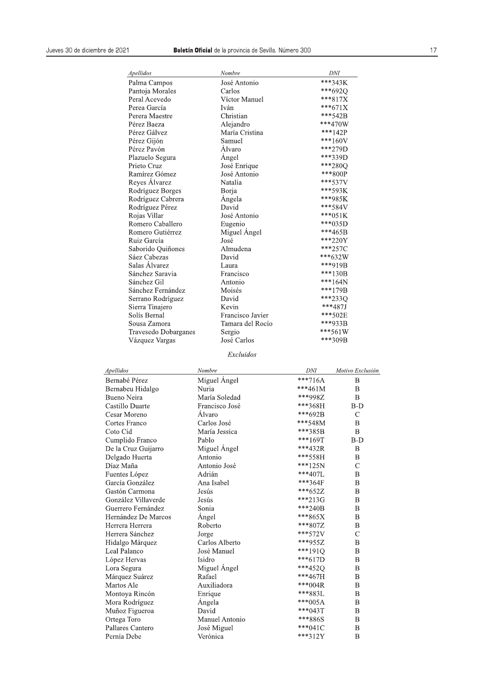| <b>DNI</b> | Nombre           | Apellidos            |  |
|------------|------------------|----------------------|--|
| ***343K    | José Antonio     | Palma Campos         |  |
| ***6920    | Carlos           | Pantoja Morales      |  |
| $***817X$  | Víctor Manuel    | Peral Acevedo        |  |
| ***671X    | Iván             | Perea García         |  |
| ***542B    | Christian        | Perera Maestre       |  |
| $***470W$  | Alejandro        | Pérez Baeza          |  |
| ***142P    | María Cristina   | Pérez Gálvez         |  |
| $***160V$  | Samuel           | Pérez Gijón          |  |
| ***279D    | Álvaro           | Pérez Pavón          |  |
| ***339D    | Angel            | Plazuelo Segura      |  |
| ***2800    | José Enrique     | Prieto Cruz          |  |
| ***800P    | José Antonio     | Ramírez Gómez        |  |
| $***537V$  | Natalia          | Reyes Álvarez        |  |
| ***593K    | Borja            | Rodríguez Borges     |  |
| ***985K    | Angela           | Rodríguez Cabrera    |  |
| ***584V    | David            | Rodríguez Pérez      |  |
| $***051K$  | José Antonio     | Rojas Villar         |  |
| $***035D$  | Eugenio          | Romero Caballero     |  |
| $***465B$  | Miguel Angel     | Romero Gutiérrez     |  |
| $***220Y$  | José             | Ruiz García          |  |
| $***257C$  | Almudena         | Saborido Quiñones    |  |
| ***632W    | David            | Sáez Cabezas         |  |
| ***919B    | Laura            | Salas Álvarez        |  |
| $***130B$  | Francisco        | Sánchez Saravia      |  |
| $***164N$  | Antonio          | Sánchez Gil          |  |
| ***179B    | Moisés           | Sánchez Fernández    |  |
| ***2330    | David            | Serrano Rodríguez    |  |
| ***487J    | Kevin            | Sierra Tinajero      |  |
| $***502E$  | Francisco Javier | Solís Bernal         |  |
| ***933B    | Tamara del Rocío | Sousa Zamora         |  |
| $***561W$  | Sergio           | Travesedo Dobarganes |  |
| ***309B    | José Carlos      | Vázquez Vargas       |  |

| Francisco Javier<br>Sergio<br>José Carlos                                                                                                                                                                                                                                                                                                                                                                                                                                                                                                                                                                                                                  |                                                                                                                                                                                                                                                                                                                                                                                                                 | *** 502E<br>***933B<br>***561W<br>***309B                                                                                                                |  |
|------------------------------------------------------------------------------------------------------------------------------------------------------------------------------------------------------------------------------------------------------------------------------------------------------------------------------------------------------------------------------------------------------------------------------------------------------------------------------------------------------------------------------------------------------------------------------------------------------------------------------------------------------------|-----------------------------------------------------------------------------------------------------------------------------------------------------------------------------------------------------------------------------------------------------------------------------------------------------------------------------------------------------------------------------------------------------------------|----------------------------------------------------------------------------------------------------------------------------------------------------------|--|
| Excluidos                                                                                                                                                                                                                                                                                                                                                                                                                                                                                                                                                                                                                                                  |                                                                                                                                                                                                                                                                                                                                                                                                                 |                                                                                                                                                          |  |
|                                                                                                                                                                                                                                                                                                                                                                                                                                                                                                                                                                                                                                                            | DNI                                                                                                                                                                                                                                                                                                                                                                                                             | Motivo Exclusión                                                                                                                                         |  |
|                                                                                                                                                                                                                                                                                                                                                                                                                                                                                                                                                                                                                                                            |                                                                                                                                                                                                                                                                                                                                                                                                                 | B                                                                                                                                                        |  |
|                                                                                                                                                                                                                                                                                                                                                                                                                                                                                                                                                                                                                                                            | ***461M                                                                                                                                                                                                                                                                                                                                                                                                         | B                                                                                                                                                        |  |
|                                                                                                                                                                                                                                                                                                                                                                                                                                                                                                                                                                                                                                                            | ***998Z                                                                                                                                                                                                                                                                                                                                                                                                         | B                                                                                                                                                        |  |
|                                                                                                                                                                                                                                                                                                                                                                                                                                                                                                                                                                                                                                                            | ***368H                                                                                                                                                                                                                                                                                                                                                                                                         | $B-D$                                                                                                                                                    |  |
|                                                                                                                                                                                                                                                                                                                                                                                                                                                                                                                                                                                                                                                            | ***692B                                                                                                                                                                                                                                                                                                                                                                                                         | $\mathcal{C}$                                                                                                                                            |  |
|                                                                                                                                                                                                                                                                                                                                                                                                                                                                                                                                                                                                                                                            | ***548M                                                                                                                                                                                                                                                                                                                                                                                                         | B                                                                                                                                                        |  |
|                                                                                                                                                                                                                                                                                                                                                                                                                                                                                                                                                                                                                                                            | ***385B                                                                                                                                                                                                                                                                                                                                                                                                         | B                                                                                                                                                        |  |
|                                                                                                                                                                                                                                                                                                                                                                                                                                                                                                                                                                                                                                                            | $***169T$                                                                                                                                                                                                                                                                                                                                                                                                       | $B-D$                                                                                                                                                    |  |
|                                                                                                                                                                                                                                                                                                                                                                                                                                                                                                                                                                                                                                                            | ***432R                                                                                                                                                                                                                                                                                                                                                                                                         | $\mathbf B$                                                                                                                                              |  |
|                                                                                                                                                                                                                                                                                                                                                                                                                                                                                                                                                                                                                                                            |                                                                                                                                                                                                                                                                                                                                                                                                                 | $\bf{B}$                                                                                                                                                 |  |
|                                                                                                                                                                                                                                                                                                                                                                                                                                                                                                                                                                                                                                                            |                                                                                                                                                                                                                                                                                                                                                                                                                 | $\mathcal{C}$                                                                                                                                            |  |
|                                                                                                                                                                                                                                                                                                                                                                                                                                                                                                                                                                                                                                                            | ***407L                                                                                                                                                                                                                                                                                                                                                                                                         | $\bf{B}$                                                                                                                                                 |  |
|                                                                                                                                                                                                                                                                                                                                                                                                                                                                                                                                                                                                                                                            |                                                                                                                                                                                                                                                                                                                                                                                                                 | $\bf{B}$                                                                                                                                                 |  |
|                                                                                                                                                                                                                                                                                                                                                                                                                                                                                                                                                                                                                                                            |                                                                                                                                                                                                                                                                                                                                                                                                                 | B                                                                                                                                                        |  |
|                                                                                                                                                                                                                                                                                                                                                                                                                                                                                                                                                                                                                                                            |                                                                                                                                                                                                                                                                                                                                                                                                                 | B                                                                                                                                                        |  |
|                                                                                                                                                                                                                                                                                                                                                                                                                                                                                                                                                                                                                                                            |                                                                                                                                                                                                                                                                                                                                                                                                                 | B                                                                                                                                                        |  |
|                                                                                                                                                                                                                                                                                                                                                                                                                                                                                                                                                                                                                                                            | ***865X                                                                                                                                                                                                                                                                                                                                                                                                         | B                                                                                                                                                        |  |
|                                                                                                                                                                                                                                                                                                                                                                                                                                                                                                                                                                                                                                                            | ***807Z                                                                                                                                                                                                                                                                                                                                                                                                         | $\bf{B}$                                                                                                                                                 |  |
|                                                                                                                                                                                                                                                                                                                                                                                                                                                                                                                                                                                                                                                            | ***572V                                                                                                                                                                                                                                                                                                                                                                                                         | $\mathcal{C}$                                                                                                                                            |  |
|                                                                                                                                                                                                                                                                                                                                                                                                                                                                                                                                                                                                                                                            | ***955Z                                                                                                                                                                                                                                                                                                                                                                                                         | B                                                                                                                                                        |  |
|                                                                                                                                                                                                                                                                                                                                                                                                                                                                                                                                                                                                                                                            |                                                                                                                                                                                                                                                                                                                                                                                                                 | B                                                                                                                                                        |  |
|                                                                                                                                                                                                                                                                                                                                                                                                                                                                                                                                                                                                                                                            | $***617D$                                                                                                                                                                                                                                                                                                                                                                                                       | B                                                                                                                                                        |  |
|                                                                                                                                                                                                                                                                                                                                                                                                                                                                                                                                                                                                                                                            |                                                                                                                                                                                                                                                                                                                                                                                                                 | $\bf{B}$                                                                                                                                                 |  |
|                                                                                                                                                                                                                                                                                                                                                                                                                                                                                                                                                                                                                                                            |                                                                                                                                                                                                                                                                                                                                                                                                                 | $\bf{B}$                                                                                                                                                 |  |
|                                                                                                                                                                                                                                                                                                                                                                                                                                                                                                                                                                                                                                                            | $***004R$                                                                                                                                                                                                                                                                                                                                                                                                       | B                                                                                                                                                        |  |
|                                                                                                                                                                                                                                                                                                                                                                                                                                                                                                                                                                                                                                                            |                                                                                                                                                                                                                                                                                                                                                                                                                 | B                                                                                                                                                        |  |
|                                                                                                                                                                                                                                                                                                                                                                                                                                                                                                                                                                                                                                                            | $***005A$                                                                                                                                                                                                                                                                                                                                                                                                       | B                                                                                                                                                        |  |
|                                                                                                                                                                                                                                                                                                                                                                                                                                                                                                                                                                                                                                                            |                                                                                                                                                                                                                                                                                                                                                                                                                 | B                                                                                                                                                        |  |
|                                                                                                                                                                                                                                                                                                                                                                                                                                                                                                                                                                                                                                                            | ***886S                                                                                                                                                                                                                                                                                                                                                                                                         | B                                                                                                                                                        |  |
|                                                                                                                                                                                                                                                                                                                                                                                                                                                                                                                                                                                                                                                            | $***041C$                                                                                                                                                                                                                                                                                                                                                                                                       | B                                                                                                                                                        |  |
|                                                                                                                                                                                                                                                                                                                                                                                                                                                                                                                                                                                                                                                            | $***312Y$                                                                                                                                                                                                                                                                                                                                                                                                       | $\overline{B}$                                                                                                                                           |  |
| Solís Bernal<br>Sousa Zamora<br>Travesedo Dobarganes<br>Vázquez Vargas<br>Apellidos<br>Bernabé Pérez<br>Bernabeu Hidalgo<br>Bueno Neira<br>Castillo Duarte<br>Cesar Moreno<br>Cortes Franco<br>Coto Cid<br>Cumplido Franco<br>De la Cruz Guijarro<br>Delgado Huerta<br>Díaz Maña<br>Fuentes López<br>García González<br>Gastón Carmona<br>González Villaverde<br>Guerrero Fernández<br>Hernández De Marcos<br>Herrera Herrera<br>Herrera Sánchez<br>Hidalgo Márquez<br>Leal Palanco<br>López Hervas<br>Lora Segura<br>Márquez Suárez<br>Martos Ale<br>Montoya Rincón<br>Mora Rodríguez<br>Muñoz Figueroa<br>Ortega Toro<br>Pallares Cantero<br>Pernía Debe | Nombre<br>Miguel Angel<br>Nuria<br>María Soledad<br>Francisco José<br>Álvaro<br>Carlos José<br>María Jessica<br>Pablo<br>Miguel Angel<br>Antonio<br>Antonio José<br>Adrián<br>Ana Isabel<br>Jesús<br>Jesús<br>Sonia<br>Angel<br>Roberto<br>Jorge<br>Carlos Alberto<br>José Manuel<br>Isidro<br>Miguel Angel<br>Rafael<br>Auxiliadora<br>Enrique<br>Ángela<br>David<br>Manuel Antonio<br>José Miguel<br>Verónica | Tamara del Rocío<br>$***716A$<br>***558H<br>$***125N$<br>***364F<br>***652Z<br>***213G<br>***240B<br>***191Q<br>***452Q<br>***467H<br>***883L<br>***043T |  |